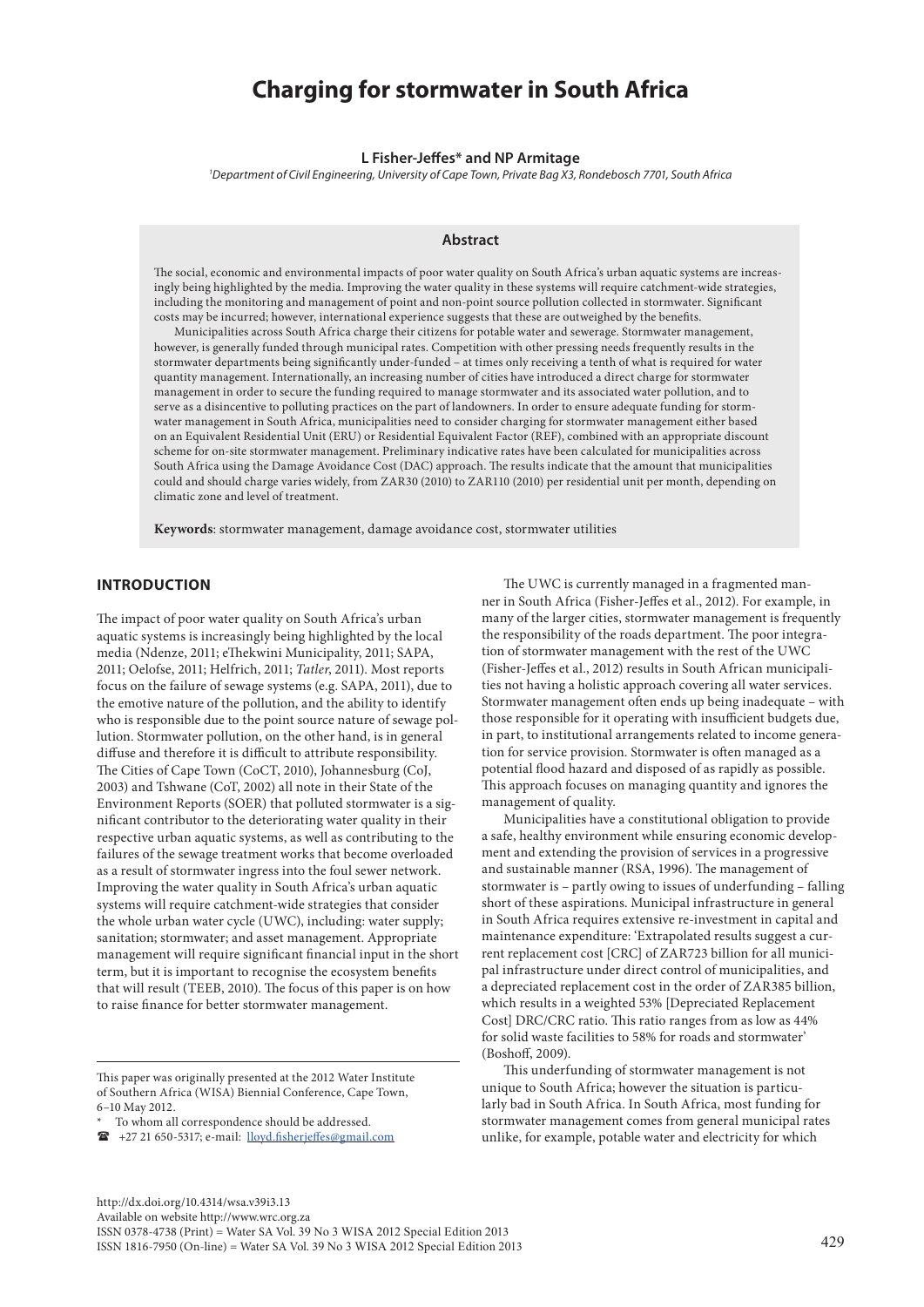# **Charging for stormwater in South Africa**

#### **L Fisher-Jeffes\* and NP Armitage**

*1 Department of Civil Engineering, University of Cape Town, Private Bag X3, Rondebosch 7701, South Africa*

#### **Abstract**

The social, economic and environmental impacts of poor water quality on South Africa's urban aquatic systems are increasingly being highlighted by the media. Improving the water quality in these systems will require catchment-wide strategies, including the monitoring and management of point and non-point source pollution collected in stormwater. Significant costs may be incurred; however, international experience suggests that these are outweighed by the benefits.

Municipalities across South Africa charge their citizens for potable water and sewerage. Stormwater management, however, is generally funded through municipal rates. Competition with other pressing needs frequently results in the stormwater departments being significantly under-funded – at times only receiving a tenth of what is required for water quantity management. Internationally, an increasing number of cities have introduced a direct charge for stormwater management in order to secure the funding required to manage stormwater and its associated water pollution, and to serve as a disincentive to polluting practices on the part of landowners. In order to ensure adequate funding for stormwater management in South Africa, municipalities need to consider charging for stormwater management either based on an Equivalent Residential Unit (ERU) or Residential Equivalent Factor (REF), combined with an appropriate discount scheme for on-site stormwater management. Preliminary indicative rates have been calculated for municipalities across South Africa using the Damage Avoidance Cost (DAC) approach. The results indicate that the amount that municipalities could and should charge varies widely, from ZAR30 (2010) to ZAR110 (2010) per residential unit per month, depending on climatic zone and level of treatment.

**Keywords**: stormwater management, damage avoidance cost, stormwater utilities

# **INTRODUCTION**

The impact of poor water quality on South Africa's urban aquatic systems is increasingly being highlighted by the local media (Ndenze, 2011; eThekwini Municipality, 2011; SAPA, 2011; Oelofse, 2011; Helfrich, 2011; *Tatler*, 2011). Most reports focus on the failure of sewage systems (e.g. SAPA, 2011), due to the emotive nature of the pollution, and the ability to identify who is responsible due to the point source nature of sewage pollution. Stormwater pollution, on the other hand, is in general diffuse and therefore it is difficult to attribute responsibility. The Cities of Cape Town (CoCT, 2010), Johannesburg (CoJ, 2003) and Tshwane (CoT, 2002) all note in their State of the Environment Reports (SOER) that polluted stormwater is a significant contributor to the deteriorating water quality in their respective urban aquatic systems, as well as contributing to the failures of the sewage treatment works that become overloaded as a result of stormwater ingress into the foul sewer network. Improving the water quality in South Africa's urban aquatic systems will require catchment-wide strategies that consider the whole urban water cycle (UWC), including: water supply; sanitation; stormwater; and asset management. Appropriate management will require significant financial input in the short term, but it is important to recognise the ecosystem benefits that will result (TEEB, 2010). The focus of this paper is on how to raise finance for better stormwater management.

http://dx.doi.org/10.4314/wsa.v39i3.13 Available on website http://www.wrc.org.za ISSN 0378-4738 (Print) = Water SA Vol. 39 No 3 WISA 2012 Special Edition 2013 ISSN 1816-7950 (On-line) = Water SA Vol. 39 No 3 WISA 2012 Special Edition 201<sup>3</sup> 429

The UWC is currently managed in a fragmented manner in South Africa (Fisher-Jeffes et al., 2012). For example, in many of the larger cities, stormwater management is frequently the responsibility of the roads department. The poor integration of stormwater management with the rest of the UWC (Fisher-Jeffes et al., 2012) results in South African municipalities not having a holistic approach covering all water services. Stormwater management often ends up being inadequate – with those responsible for it operating with insufficient budgets due, in part, to institutional arrangements related to income generation for service provision. Stormwater is often managed as a potential flood hazard and disposed of as rapidly as possible. This approach focuses on managing quantity and ignores the management of quality.

Municipalities have a constitutional obligation to provide a safe, healthy environment while ensuring economic development and extending the provision of services in a progressive and sustainable manner (RSA, 1996). The management of stormwater is – partly owing to issues of underfunding – falling short of these aspirations. Municipal infrastructure in general in South Africa requires extensive re-investment in capital and maintenance expenditure: 'Extrapolated results suggest a current replacement cost [CRC] of ZAR723 billion for all municipal infrastructure under direct control of municipalities, and a depreciated replacement cost in the order of ZAR385 billion, which results in a weighted 53% [Depreciated Replacement Cost] DRC/CRC ratio. This ratio ranges from as low as 44% for solid waste facilities to 58% for roads and stormwater' (Boshoff, 2009).

This underfunding of stormwater management is not unique to South Africa; however the situation is particularly bad in South Africa. In South Africa, most funding for stormwater management comes from general municipal rates unlike, for example, potable water and electricity for which

This paper was originally presented at the 2012 Water Institute of Southern Africa (WISA) Biennial Conference, Cape Town, 6–10 May 2012.

To whom all correspondence should be addressed.

+27 21 650-5317; e-mail: [lloyd.fisherjeffes@gmail.com](mailto:lloyd.fisherjeffes@gmail.com)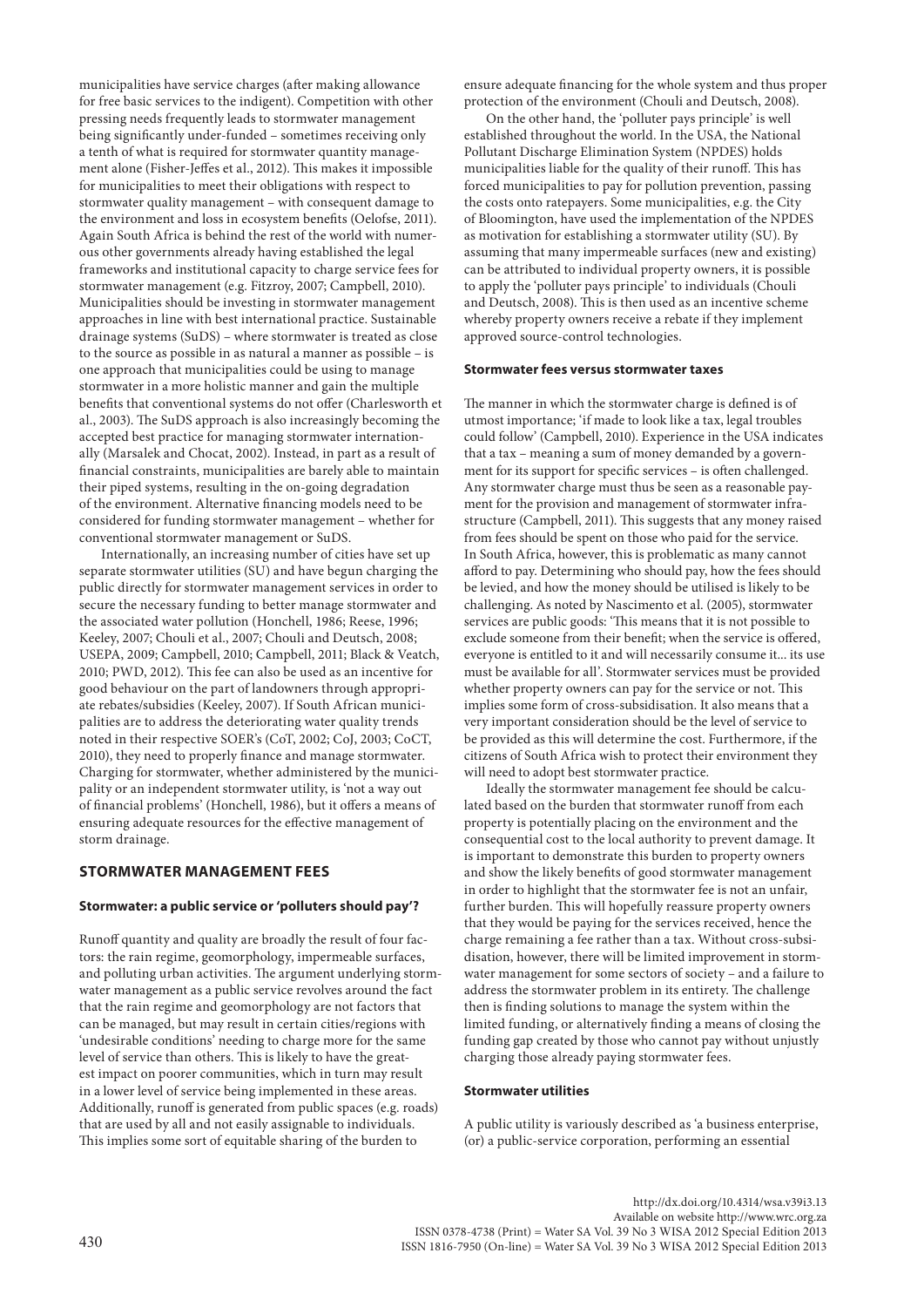municipalities have service charges (after making allowance for free basic services to the indigent). Competition with other pressing needs frequently leads to stormwater management being significantly under-funded – sometimes receiving only a tenth of what is required for stormwater quantity management alone (Fisher-Jeffes et al., 2012). This makes it impossible for municipalities to meet their obligations with respect to stormwater quality management – with consequent damage to the environment and loss in ecosystem benefits (Oelofse, 2011). Again South Africa is behind the rest of the world with numerous other governments already having established the legal frameworks and institutional capacity to charge service fees for stormwater management (e.g. Fitzroy, 2007; Campbell, 2010). Municipalities should be investing in stormwater management approaches in line with best international practice. Sustainable drainage systems (SuDS) – where stormwater is treated as close to the source as possible in as natural a manner as possible – is one approach that municipalities could be using to manage stormwater in a more holistic manner and gain the multiple benefits that conventional systems do not offer (Charlesworth et al., 2003). The SuDS approach is also increasingly becoming the accepted best practice for managing stormwater internationally (Marsalek and Chocat, 2002). Instead, in part as a result of financial constraints, municipalities are barely able to maintain their piped systems, resulting in the on-going degradation of the environment. Alternative financing models need to be considered for funding stormwater management – whether for conventional stormwater management or SuDS.

Internationally, an increasing number of cities have set up separate stormwater utilities (SU) and have begun charging the public directly for stormwater management services in order to secure the necessary funding to better manage stormwater and the associated water pollution (Honchell, 1986; Reese, 1996; Keeley, 2007; Chouli et al., 2007; Chouli and Deutsch, 2008; USEPA, 2009; Campbell, 2010; Campbell, 2011; Black & Veatch, 2010; PWD, 2012). This fee can also be used as an incentive for good behaviour on the part of landowners through appropriate rebates/subsidies (Keeley, 2007). If South African municipalities are to address the deteriorating water quality trends noted in their respective SOER's (CoT, 2002; CoJ, 2003; CoCT, 2010), they need to properly finance and manage stormwater. Charging for stormwater, whether administered by the municipality or an independent stormwater utility, is 'not a way out of financial problems' (Honchell, 1986), but it offers a means of ensuring adequate resources for the effective management of storm drainage.

# **STORMWATER MANAGEMENT FEES**

#### **Stormwater: a public service or 'polluters should pay'?**

Runoff quantity and quality are broadly the result of four factors: the rain regime, geomorphology, impermeable surfaces, and polluting urban activities. The argument underlying stormwater management as a public service revolves around the fact that the rain regime and geomorphology are not factors that can be managed, but may result in certain cities/regions with 'undesirable conditions' needing to charge more for the same level of service than others. This is likely to have the greatest impact on poorer communities, which in turn may result in a lower level of service being implemented in these areas. Additionally, runoff is generated from public spaces (e.g. roads) that are used by all and not easily assignable to individuals. This implies some sort of equitable sharing of the burden to

ensure adequate financing for the whole system and thus proper protection of the environment (Chouli and Deutsch, 2008).

On the other hand, the 'polluter pays principle' is well established throughout the world. In the USA, the National Pollutant Discharge Elimination System (NPDES) holds municipalities liable for the quality of their runoff. This has forced municipalities to pay for pollution prevention, passing the costs onto ratepayers. Some municipalities, e.g. the City of Bloomington, have used the implementation of the NPDES as motivation for establishing a stormwater utility (SU). By assuming that many impermeable surfaces (new and existing) can be attributed to individual property owners, it is possible to apply the 'polluter pays principle' to individuals (Chouli and Deutsch, 2008). This is then used as an incentive scheme whereby property owners receive a rebate if they implement approved source-control technologies.

#### **Stormwater fees versus stormwater taxes**

The manner in which the stormwater charge is defined is of utmost importance; 'if made to look like a tax, legal troubles could follow' (Campbell, 2010). Experience in the USA indicates that a tax – meaning a sum of money demanded by a government for its support for specific services – is often challenged. Any stormwater charge must thus be seen as a reasonable payment for the provision and management of stormwater infrastructure (Campbell, 2011). This suggests that any money raised from fees should be spent on those who paid for the service. In South Africa, however, this is problematic as many cannot afford to pay. Determining who should pay, how the fees should be levied, and how the money should be utilised is likely to be challenging. As noted by Nascimento et al. (2005), stormwater services are public goods: 'This means that it is not possible to exclude someone from their benefit; when the service is offered, everyone is entitled to it and will necessarily consume it... its use must be available for all'. Stormwater services must be provided whether property owners can pay for the service or not. This implies some form of cross-subsidisation. It also means that a very important consideration should be the level of service to be provided as this will determine the cost. Furthermore, if the citizens of South Africa wish to protect their environment they will need to adopt best stormwater practice.

Ideally the stormwater management fee should be calculated based on the burden that stormwater runoff from each property is potentially placing on the environment and the consequential cost to the local authority to prevent damage. It is important to demonstrate this burden to property owners and show the likely benefits of good stormwater management in order to highlight that the stormwater fee is not an unfair, further burden. This will hopefully reassure property owners that they would be paying for the services received, hence the charge remaining a fee rather than a tax. Without cross-subsidisation, however, there will be limited improvement in stormwater management for some sectors of society – and a failure to address the stormwater problem in its entirety. The challenge then is finding solutions to manage the system within the limited funding, or alternatively finding a means of closing the funding gap created by those who cannot pay without unjustly charging those already paying stormwater fees.

#### **Stormwater utilities**

A public utility is variously described as 'a business enterprise, (or) a public-service corporation, performing an essential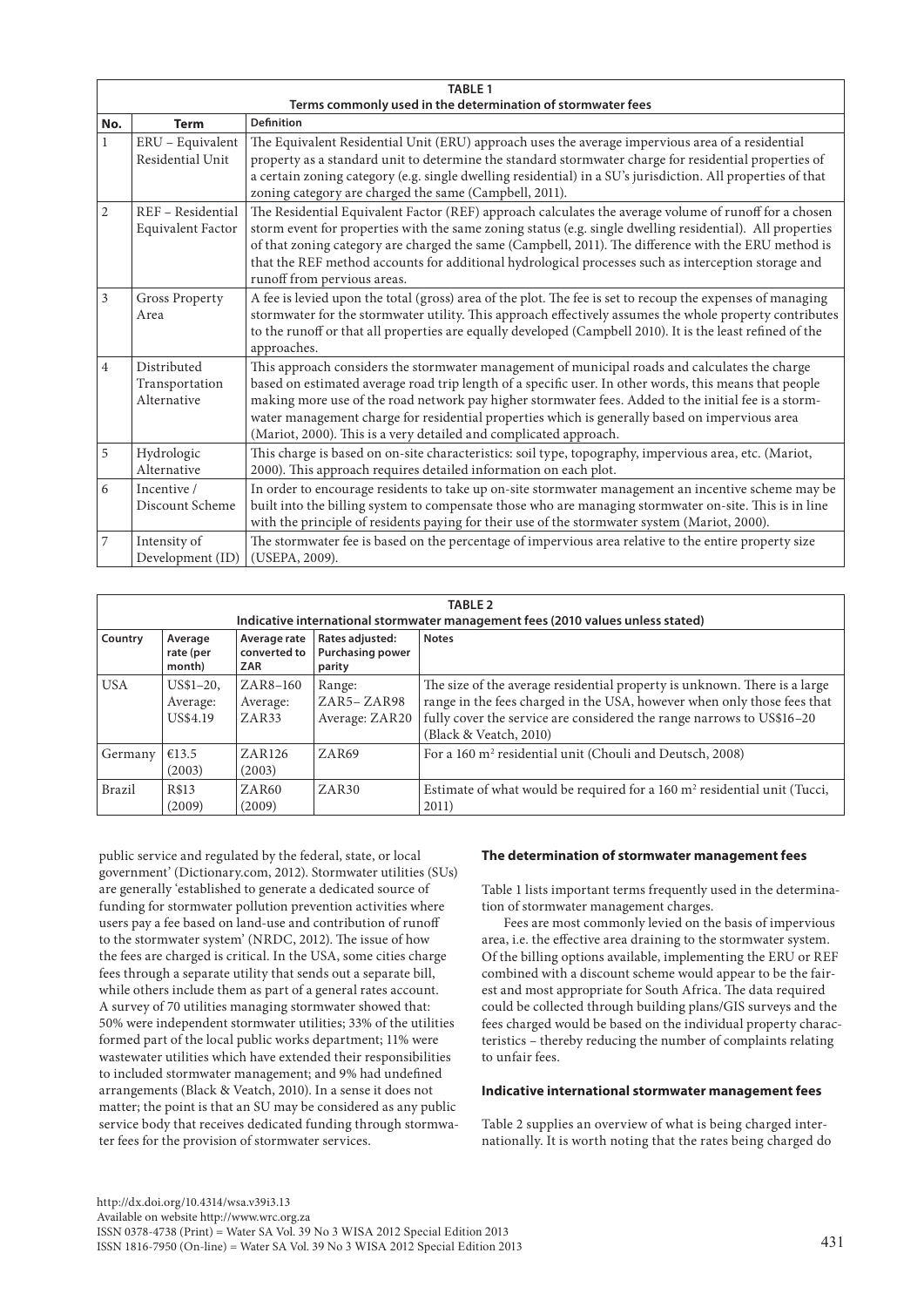| <b>TABLE 1</b>                                              |                                               |                                                                                                                                                                                                                                                                                                                                                                                                                                                                                         |  |  |  |  |  |  |
|-------------------------------------------------------------|-----------------------------------------------|-----------------------------------------------------------------------------------------------------------------------------------------------------------------------------------------------------------------------------------------------------------------------------------------------------------------------------------------------------------------------------------------------------------------------------------------------------------------------------------------|--|--|--|--|--|--|
| Terms commonly used in the determination of stormwater fees |                                               |                                                                                                                                                                                                                                                                                                                                                                                                                                                                                         |  |  |  |  |  |  |
| No.                                                         | <b>Term</b>                                   | <b>Definition</b>                                                                                                                                                                                                                                                                                                                                                                                                                                                                       |  |  |  |  |  |  |
| $\mathbf{1}$                                                | ERU - Equivalent<br>Residential Unit          | The Equivalent Residential Unit (ERU) approach uses the average impervious area of a residential<br>property as a standard unit to determine the standard stormwater charge for residential properties of<br>a certain zoning category (e.g. single dwelling residential) in a SU's jurisdiction. All properties of that<br>zoning category are charged the same (Campbell, 2011).                                                                                                      |  |  |  |  |  |  |
| $\overline{2}$                                              | REF - Residential<br><b>Equivalent Factor</b> | The Residential Equivalent Factor (REF) approach calculates the average volume of runoff for a chosen<br>storm event for properties with the same zoning status (e.g. single dwelling residential). All properties<br>of that zoning category are charged the same (Campbell, 2011). The difference with the ERU method is<br>that the REF method accounts for additional hydrological processes such as interception storage and<br>runoff from pervious areas.                        |  |  |  |  |  |  |
| 3                                                           | <b>Gross Property</b><br>Area                 | A fee is levied upon the total (gross) area of the plot. The fee is set to recoup the expenses of managing<br>stormwater for the stormwater utility. This approach effectively assumes the whole property contributes<br>to the runoff or that all properties are equally developed (Campbell 2010). It is the least refined of the<br>approaches.                                                                                                                                      |  |  |  |  |  |  |
| $\overline{4}$                                              | Distributed<br>Transportation<br>Alternative  | This approach considers the stormwater management of municipal roads and calculates the charge<br>based on estimated average road trip length of a specific user. In other words, this means that people<br>making more use of the road network pay higher stormwater fees. Added to the initial fee is a storm-<br>water management charge for residential properties which is generally based on impervious area<br>(Mariot, 2000). This is a very detailed and complicated approach. |  |  |  |  |  |  |
| 5                                                           | Hydrologic<br>Alternative                     | This charge is based on on-site characteristics: soil type, topography, impervious area, etc. (Mariot,<br>2000). This approach requires detailed information on each plot.                                                                                                                                                                                                                                                                                                              |  |  |  |  |  |  |
| 6                                                           | Incentive /<br>Discount Scheme                | In order to encourage residents to take up on-site stormwater management an incentive scheme may be<br>built into the billing system to compensate those who are managing stormwater on-site. This is in line<br>with the principle of residents paying for their use of the stormwater system (Mariot, 2000).                                                                                                                                                                          |  |  |  |  |  |  |
| 7                                                           | Intensity of<br>Development (ID)              | The stormwater fee is based on the percentage of impervious area relative to the entire property size<br>(USEPA, 2009).                                                                                                                                                                                                                                                                                                                                                                 |  |  |  |  |  |  |

| <b>TABLE 2</b><br>Indicative international stormwater management fees (2010 values unless stated) |                                   |                               |                                        |                                                                                                                                                                                                                                                         |  |  |  |  |  |
|---------------------------------------------------------------------------------------------------|-----------------------------------|-------------------------------|----------------------------------------|---------------------------------------------------------------------------------------------------------------------------------------------------------------------------------------------------------------------------------------------------------|--|--|--|--|--|
|                                                                                                   |                                   |                               |                                        |                                                                                                                                                                                                                                                         |  |  |  |  |  |
| <b>USA</b>                                                                                        | US\$1-20,<br>Average:<br>US\$4.19 | ZAR8-160<br>Average:<br>ZAR33 | Range:<br>ZAR5-ZAR98<br>Average: ZAR20 | The size of the average residential property is unknown. There is a large<br>range in the fees charged in the USA, however when only those fees that<br>fully cover the service are considered the range narrows to US\$16-20<br>(Black & Veatch, 2010) |  |  |  |  |  |
| Germany                                                                                           | €13.5<br>(2003)                   | ZAR126<br>(2003)              | ZAR69                                  | For a 160 m <sup>2</sup> residential unit (Chouli and Deutsch, 2008)                                                                                                                                                                                    |  |  |  |  |  |
| <b>Brazil</b>                                                                                     | R\$13<br>(2009)                   | ZAR60<br>(2009)               | ZAR30                                  | Estimate of what would be required for a 160 m <sup>2</sup> residential unit (Tucci,<br>2011)                                                                                                                                                           |  |  |  |  |  |

public service and regulated by the federal, state, or local government' (Dictionary.com, 2012). Stormwater utilities (SUs) are generally 'established to generate a dedicated source of funding for stormwater pollution prevention activities where users pay a fee based on land-use and contribution of runoff to the stormwater system' (NRDC, 2012). The issue of how the fees are charged is critical. In the USA, some cities charge fees through a separate utility that sends out a separate bill, while others include them as part of a general rates account. A survey of 70 utilities managing stormwater showed that: 50% were independent stormwater utilities; 33% of the utilities formed part of the local public works department; 11% were wastewater utilities which have extended their responsibilities to included stormwater management; and 9% had undefined arrangements (Black & Veatch, 2010). In a sense it does not matter; the point is that an SU may be considered as any public service body that receives dedicated funding through stormwater fees for the provision of stormwater services.

## **The determination of stormwater management fees**

Table 1 lists important terms frequently used in the determination of stormwater management charges.

Fees are most commonly levied on the basis of impervious area, i.e. the effective area draining to the stormwater system. Of the billing options available, implementing the ERU or REF combined with a discount scheme would appear to be the fairest and most appropriate for South Africa. The data required could be collected through building plans/GIS surveys and the fees charged would be based on the individual property characteristics – thereby reducing the number of complaints relating to unfair fees.

#### **Indicative international stormwater management fees**

Table 2 supplies an overview of what is being charged internationally. It is worth noting that the rates being charged do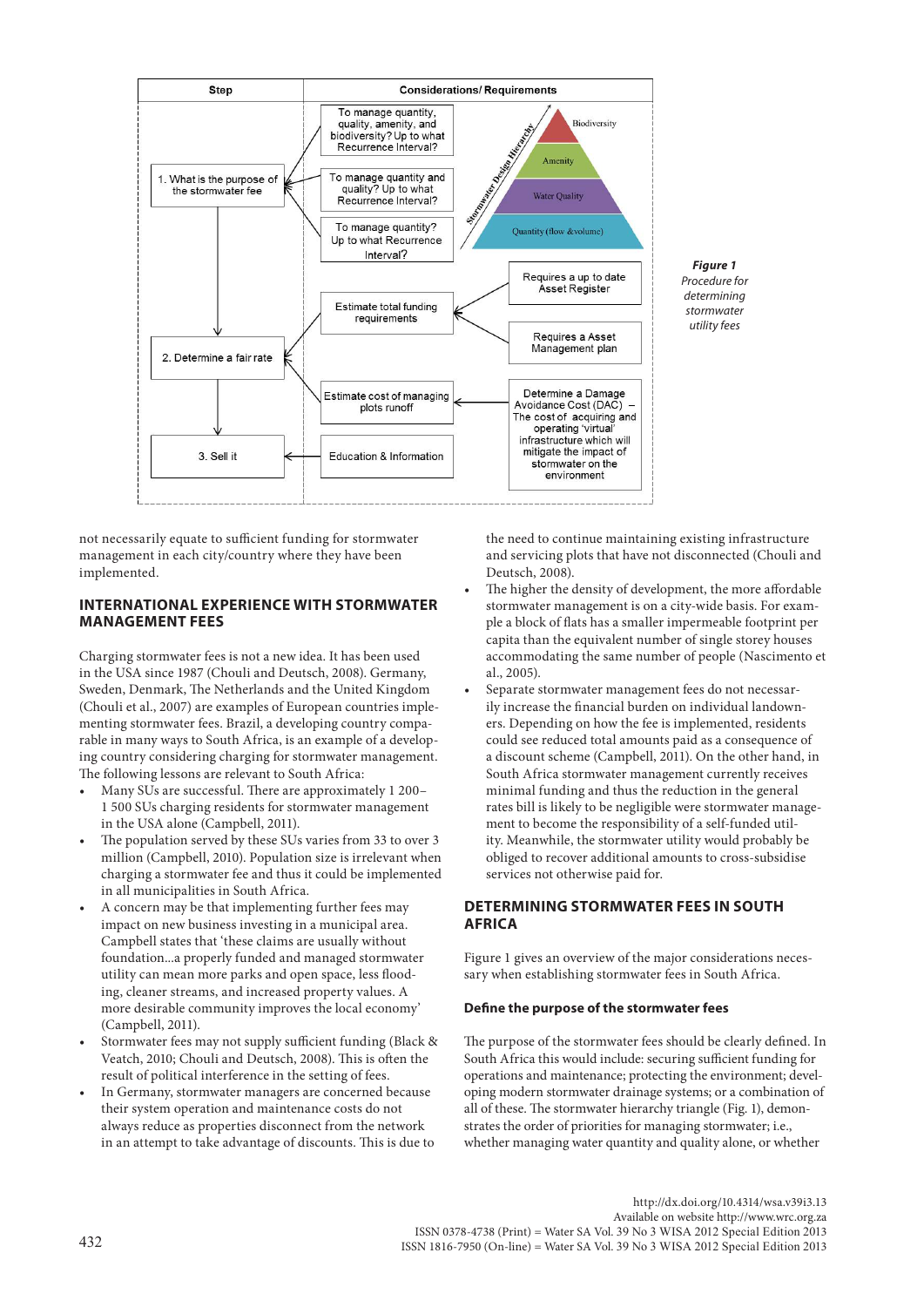

not necessarily equate to sufficient funding for stormwater management in each city/country where they have been implemented.

## **INTERNATIONAL EXPERIENCE WITH STORMWATER MANAGEMENT FEES**

Charging stormwater fees is not a new idea. It has been used in the USA since 1987 (Chouli and Deutsch, 2008). Germany, Sweden, Denmark, The Netherlands and the United Kingdom (Chouli et al., 2007) are examples of European countries implementing stormwater fees. Brazil, a developing country comparable in many ways to South Africa, is an example of a developing country considering charging for stormwater management. The following lessons are relevant to South Africa:

- Many SUs are successful. There are approximately 1 200– 1 500 SUs charging residents for stormwater management in the USA alone (Campbell, 2011).
- The population served by these SUs varies from 33 to over 3 million (Campbell, 2010). Population size is irrelevant when charging a stormwater fee and thus it could be implemented in all municipalities in South Africa.
- A concern may be that implementing further fees may impact on new business investing in a municipal area. Campbell states that 'these claims are usually without foundation...a properly funded and managed stormwater utility can mean more parks and open space, less flooding, cleaner streams, and increased property values. A more desirable community improves the local economy' (Campbell, 2011).
- Stormwater fees may not supply sufficient funding (Black & Veatch, 2010; Chouli and Deutsch, 2008). This is often the result of political interference in the setting of fees.
- In Germany, stormwater managers are concerned because their system operation and maintenance costs do not always reduce as properties disconnect from the network in an attempt to take advantage of discounts. This is due to

the need to continue maintaining existing infrastructure and servicing plots that have not disconnected (Chouli and Deutsch, 2008).

- The higher the density of development, the more affordable stormwater management is on a city-wide basis. For example a block of flats has a smaller impermeable footprint per capita than the equivalent number of single storey houses accommodating the same number of people (Nascimento et al., 2005).
- Separate stormwater management fees do not necessarily increase the financial burden on individual landowners. Depending on how the fee is implemented, residents could see reduced total amounts paid as a consequence of a discount scheme (Campbell, 2011). On the other hand, in South Africa stormwater management currently receives minimal funding and thus the reduction in the general rates bill is likely to be negligible were stormwater management to become the responsibility of a self-funded utility. Meanwhile, the stormwater utility would probably be obliged to recover additional amounts to cross-subsidise services not otherwise paid for.

# **DETERMINING STORMWATER FEES IN SOUTH AFRICA**

Figure 1 gives an overview of the major considerations necessary when establishing stormwater fees in South Africa.

#### **Define the purpose of the stormwater fees**

The purpose of the stormwater fees should be clearly defined. In South Africa this would include: securing sufficient funding for operations and maintenance; protecting the environment; developing modern stormwater drainage systems; or a combination of all of these. The stormwater hierarchy triangle (Fig. 1), demonstrates the order of priorities for managing stormwater; i.e., whether managing water quantity and quality alone, or whether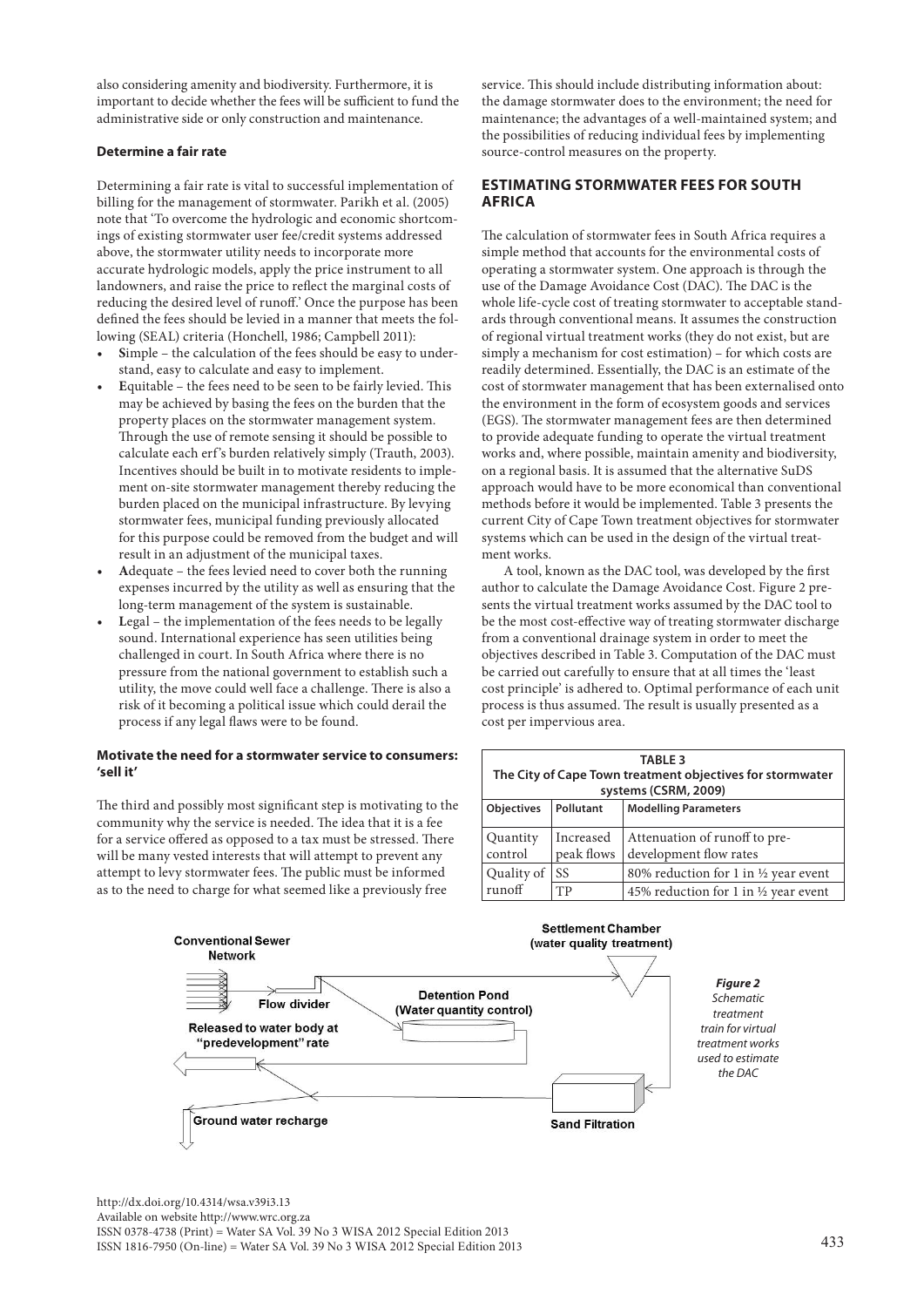also considering amenity and biodiversity. Furthermore, it is important to decide whether the fees will be sufficient to fund the administrative side or only construction and maintenance.

## **Determine a fair rate**

Determining a fair rate is vital to successful implementation of billing for the management of stormwater. Parikh et al. (2005) note that 'To overcome the hydrologic and economic shortcomings of existing stormwater user fee/credit systems addressed above, the stormwater utility needs to incorporate more accurate hydrologic models, apply the price instrument to all landowners, and raise the price to reflect the marginal costs of reducing the desired level of runoff.' Once the purpose has been defined the fees should be levied in a manner that meets the following (SEAL) criteria (Honchell, 1986; Campbell 2011):

- **Simple the calculation of the fees should be easy to under**stand, easy to calculate and easy to implement.
- Equitable the fees need to be seen to be fairly levied. This may be achieved by basing the fees on the burden that the property places on the stormwater management system. Through the use of remote sensing it should be possible to calculate each erf's burden relatively simply (Trauth, 2003). Incentives should be built in to motivate residents to implement on-site stormwater management thereby reducing the burden placed on the municipal infrastructure. By levying stormwater fees, municipal funding previously allocated for this purpose could be removed from the budget and will result in an adjustment of the municipal taxes.
- Adequate the fees levied need to cover both the running expenses incurred by the utility as well as ensuring that the long-term management of the system is sustainable.
- Legal the implementation of the fees needs to be legally sound. International experience has seen utilities being challenged in court. In South Africa where there is no pressure from the national government to establish such a utility, the move could well face a challenge. There is also a risk of it becoming a political issue which could derail the process if any legal flaws were to be found.

## **Motivate the need for a stormwater service to consumers: 'sell it'**

The third and possibly most significant step is motivating to the community why the service is needed. The idea that it is a fee for a service offered as opposed to a tax must be stressed. There will be many vested interests that will attempt to prevent any attempt to levy stormwater fees. The public must be informed as to the need to charge for what seemed like a previously free

service. This should include distributing information about: the damage stormwater does to the environment; the need for maintenance; the advantages of a well-maintained system; and the possibilities of reducing individual fees by implementing source-control measures on the property.

# **ESTIMATING STORMWATER FEES FOR SOUTH AFRICA**

The calculation of stormwater fees in South Africa requires a simple method that accounts for the environmental costs of operating a stormwater system. One approach is through the use of the Damage Avoidance Cost (DAC). The DAC is the whole life-cycle cost of treating stormwater to acceptable standards through conventional means. It assumes the construction of regional virtual treatment works (they do not exist, but are simply a mechanism for cost estimation) – for which costs are readily determined. Essentially, the DAC is an estimate of the cost of stormwater management that has been externalised onto the environment in the form of ecosystem goods and services (EGS). The stormwater management fees are then determined to provide adequate funding to operate the virtual treatment works and, where possible, maintain amenity and biodiversity, on a regional basis. It is assumed that the alternative SuDS approach would have to be more economical than conventional methods before it would be implemented. Table 3 presents the current City of Cape Town treatment objectives for stormwater systems which can be used in the design of the virtual treatment works.

A tool, known as the DAC tool, was developed by the first author to calculate the Damage Avoidance Cost. Figure 2 presents the virtual treatment works assumed by the DAC tool to be the most cost-effective way of treating stormwater discharge from a conventional drainage system in order to meet the objectives described in Table 3. Computation of the DAC must be carried out carefully to ensure that at all times the 'least cost principle' is adhered to. Optimal performance of each unit process is thus assumed. The result is usually presented as a cost per impervious area.

| <b>TABLE 3</b><br>The City of Cape Town treatment objectives for stormwater<br>systems (CSRM, 2009) |                         |                                                         |  |  |  |  |
|-----------------------------------------------------------------------------------------------------|-------------------------|---------------------------------------------------------|--|--|--|--|
| Objectives                                                                                          | Pollutant               | <b>Modelling Parameters</b>                             |  |  |  |  |
| Quantity<br>control                                                                                 | Increased<br>peak flows | Attenuation of runoff to pre-<br>development flow rates |  |  |  |  |
| Quality of                                                                                          | SS                      | 80% reduction for 1 in ½ year event                     |  |  |  |  |
| runoff                                                                                              | TP                      | 45% reduction for 1 in $\frac{1}{2}$ year event         |  |  |  |  |

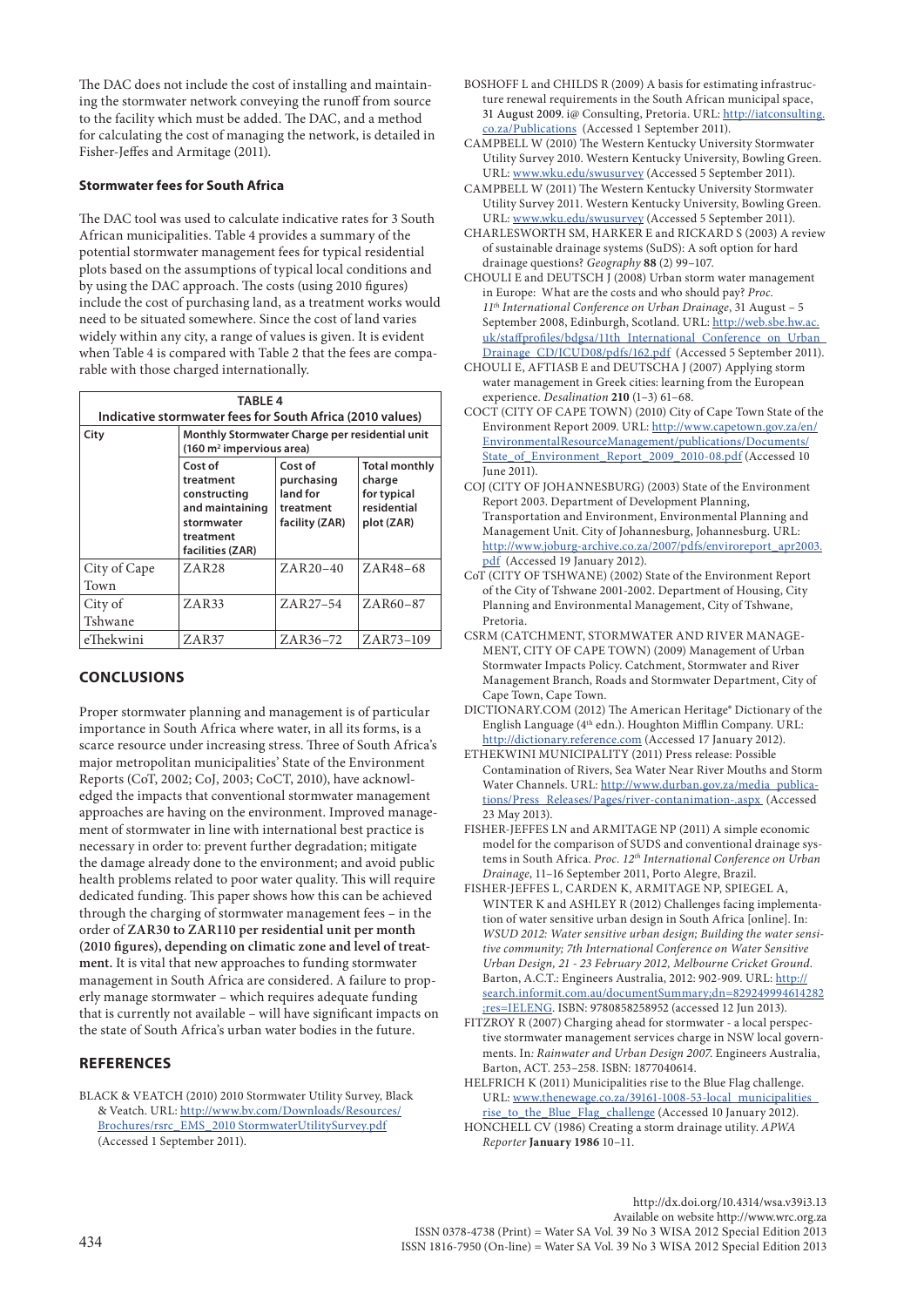The DAC does not include the cost of installing and maintaining the stormwater network conveying the runoff from source to the facility which must be added. The DAC, and a method for calculating the cost of managing the network, is detailed in Fisher-Jeffes and Armitage (2011).

## **Stormwater fees for South Africa**

The DAC tool was used to calculate indicative rates for 3 South African municipalities. Table 4 provides a summary of the potential stormwater management fees for typical residential plots based on the assumptions of typical local conditions and by using the DAC approach. The costs (using 2010 figures) include the cost of purchasing land, as a treatment works would need to be situated somewhere. Since the cost of land varies widely within any city, a range of values is given. It is evident when Table 4 is compared with Table 2 that the fees are comparable with those charged internationally.

| <b>TABLE 4</b><br>Indicative stormwater fees for South Africa (2010 values) |                                                                                                        |                                                                  |                                                                            |  |  |  |  |  |
|-----------------------------------------------------------------------------|--------------------------------------------------------------------------------------------------------|------------------------------------------------------------------|----------------------------------------------------------------------------|--|--|--|--|--|
| City                                                                        | Monthly Stormwater Charge per residential unit<br>(160 m <sup>2</sup> impervious area)                 |                                                                  |                                                                            |  |  |  |  |  |
|                                                                             | Cost of<br>treatment<br>constructing<br>and maintaining<br>stormwater<br>treatment<br>facilities (ZAR) | Cost of<br>purchasing<br>land for<br>treatment<br>facility (ZAR) | <b>Total monthly</b><br>charge<br>for typical<br>residential<br>plot (ZAR) |  |  |  |  |  |
| City of Cape<br>Town                                                        | ZAR <sub>28</sub>                                                                                      | ZAR20-40                                                         | ZAR48-68                                                                   |  |  |  |  |  |
| City of<br>Tshwane                                                          | ZAR33                                                                                                  | ZAR27-54                                                         | ZAR60-87                                                                   |  |  |  |  |  |
| eThekwini                                                                   | ZAR37                                                                                                  | ZAR36-72                                                         | ZAR73-109                                                                  |  |  |  |  |  |

## **CONCLUSIONS**

Proper stormwater planning and management is of particular importance in South Africa where water, in all its forms, is a scarce resource under increasing stress. Three of South Africa's major metropolitan municipalities' State of the Environment Reports (CoT, 2002; CoJ, 2003; CoCT, 2010), have acknowledged the impacts that conventional stormwater management approaches are having on the environment. Improved management of stormwater in line with international best practice is necessary in order to: prevent further degradation; mitigate the damage already done to the environment; and avoid public health problems related to poor water quality. This will require dedicated funding. This paper shows how this can be achieved through the charging of stormwater management fees – in the order of **ZAR30 to ZAR110 per residential unit per month (2010 figures), depending on climatic zone and level of treatment.** It is vital that new approaches to funding stormwater management in South Africa are considered. A failure to properly manage stormwater – which requires adequate funding that is currently not available – will have significant impacts on the state of South Africa's urban water bodies in the future.

## **REFERENCES**

BLACK & VEATCH (2010) 2010 Stormwater Utility Survey, Black & Veatch. URL: [http://www.bv.com/Downloads/Resources/](http://www.bv.com/Downloads/Resources/Brochures/rsrc_EMS_2010%20StormwaterUtilitySurvey.pdf) [Brochures/rsrc\\_EMS\\_2010 StormwaterUtilitySurvey.pdf](http://www.bv.com/Downloads/Resources/Brochures/rsrc_EMS_2010%20StormwaterUtilitySurvey.pdf) (Accessed 1 September 2011).

- BOSHOFF L and CHILDS R (2009) A basis for estimating infrastructure renewal requirements in the South African municipal space, 31 August 2009. i@ Consulting, Pretoria. URL: [http://iatconsulting.](http://iatconsulting.co.za/Publications) [co.za/Publications](http://iatconsulting.co.za/Publications) (Accessed 1 September 2011).
- CAMPBELL W (2010) The Western Kentucky University Stormwater Utility Survey 2010. Western Kentucky University, Bowling Green. URL: [www.wku.edu/swusurvey](http://www.wku.edu/swusurvey) (Accessed 5 September 2011).
- CAMPBELL W (2011) The Western Kentucky University Stormwater Utility Survey 2011. Western Kentucky University, Bowling Green. URL: [www.wku.edu/swusurvey](http://www.wku.edu/swusurvey) (Accessed 5 September 2011).
- CHARLESWORTH SM, HARKER E and RICKARD S (2003) A review of sustainable drainage systems (SuDS): A soft option for hard drainage questions? *Geography* **88** (2) 99–107.
- CHOULI E and DEUTSCH J (2008) Urban storm water management in Europe: What are the costs and who should pay? *Proc. 11th International Conference on Urban Drainage*, 31 August – 5 September 2008, Edinburgh, Scotland. URL: [http://web.sbe.hw.ac.](http://web.sbe.hw.ac.uk/staffprofiles/bdgsa/11th_International_Conference_on_Urban_%20Drainage_CD/ICUD08/pdfs/162.pdf) uk/staffprofiles/bdgsa/11th\_International\_Conference\_on\_Urban\_ [Drainage\\_CD/ICUD08/pdfs/162.pdf](http://web.sbe.hw.ac.uk/staffprofiles/bdgsa/11th_International_Conference_on_Urban_%20Drainage_CD/ICUD08/pdfs/162.pdf) (Accessed 5 September 2011).
- CHOULI E, AFTIASB E and DEUTSCHA J (2007) Applying storm water management in Greek cities: learning from the European experience*. Desalination* **210** (1–3) 61–68.
- COCT (CITY OF CAPE TOWN) (2010) City of Cape Town State of the Environment Report 2009. URL: [http://www.capetown.gov.za/en/](http://www.capetown.gov.za/en/EnvironmentalResourceManagement/publications/Documents/State_of_Environment_Report_2009_2010-08.pdf) [EnvironmentalResourceManagement/publications/Documents/](http://www.capetown.gov.za/en/EnvironmentalResourceManagement/publications/Documents/State_of_Environment_Report_2009_2010-08.pdf) [State\\_of\\_Environment\\_Report\\_2009\\_2010-08.pdf](http://www.capetown.gov.za/en/EnvironmentalResourceManagement/publications/Documents/State_of_Environment_Report_2009_2010-08.pdf) (Accessed 10 June 2011).
- COJ (CITY OF JOHANNESBURG) (2003) State of the Environment Report 2003. Department of Development Planning, Transportation and Environment, Environmental Planning and Management Unit. City of Johannesburg, Johannesburg. URL: [http://www.joburg-archive.co.za/2007/pdfs/enviroreport\\_apr2003.](http://www.joburg-archive.co.za/2007/pdfs/enviroreport_apr2003.pdf) [pdf](http://www.joburg-archive.co.za/2007/pdfs/enviroreport_apr2003.pdf) (Accessed 19 January 2012).
- CoT (CITY OF TSHWANE) (2002) State of the Environment Report of the City of Tshwane 2001-2002. Department of Housing, City Planning and Environmental Management, City of Tshwane, Pretoria.
- CSRM (CATCHMENT, STORMWATER AND RIVER MANAGE-MENT, CITY OF CAPE TOWN) (2009) Management of Urban Stormwater Impacts Policy. Catchment, Stormwater and River Management Branch, Roads and Stormwater Department, City of Cape Town, Cape Town.
- DICTIONARY.COM (2012) The American Heritage® Dictionary of the English Language (4th edn.). Houghton Mifflin Company. URL: <http://dictionary.reference.com>(Accessed 17 January 2012).
- ETHEKWINI MUNICIPALITY (2011) Press release: Possible Contamination of Rivers, Sea Water Near River Mouths and Storm Water Channels. URL: [http://www.durban.gov.za/media\\_publica](http://www.durban.gov.za/media_publications/Press_Releases/Pages/river-contanimation-.aspx)[tions/Press\\_Releases/Pages/river-contanimation-.aspx](http://www.durban.gov.za/media_publications/Press_Releases/Pages/river-contanimation-.aspx) (Accessed 23 May 2013).
- FISHER-JEFFES LN and ARMITAGE NP (2011) A simple economic model for the comparison of SUDS and conventional drainage systems in South Africa. *Proc. 12th International Conference on Urban Drainage*, 11–16 September 2011, Porto Alegre, Brazil.
- FISHER-JEFFES L, CARDEN K, ARMITAGE NP, SPIEGEL A, WINTER K and ASHLEY R (2012) Challenges facing implementation of water sensitive urban design in South Africa [online]. In: *WSUD 2012: Water sensitive urban design; Building the water sensitive community; 7th International Conference on Water Sensitive Urban Design, 21 - 23 February 2012, Melbourne Cricket Ground*. Barton, A.C.T.: Engineers Australia, 2012: 902-909. URL: http:// search.informit.com.au/documentSummary;dn=829249994614282 ;res=IELENG. ISBN: 9780858258952 (accessed 12 Jun 2013).
- FITZROY R (2007) Charging ahead for stormwater a local perspective stormwater management services charge in NSW local governments. In*: Rainwater and Urban Design 2007*. Engineers Australia, Barton, ACT. 253–258. ISBN: 1877040614.
- HELFRICH K (2011) Municipalities rise to the Blue Flag challenge. URL: www.thenewage.co.za/39161-1008-53-local\_municipalities [rise\\_to\\_the\\_Blue\\_Flag\\_challenge](http://www.thenewage.co.za/39161-1008-53-local_municipalities_rise_to_the_Blue_Flag_challenge) (Accessed 10 January 2012).
- HONCHELL CV (1986) Creating a storm drainage utility. *APWA Reporter* **January 1986** 10–11.